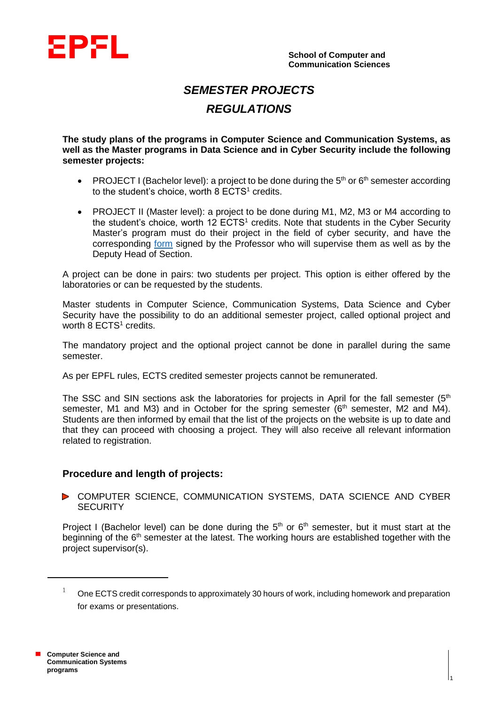

# *SEMESTER PROJECTS REGULATIONS*

**The study plans of the programs in Computer Science and Communication Systems, as well as the Master programs in Data Science and in Cyber Security include the following semester projects:**

- PROJECT I (Bachelor level): a project to be done during the  $5<sup>th</sup>$  or  $6<sup>th</sup>$  semester according to the student's choice, worth  $8$  ECTS<sup>1</sup> credits.
- PROJECT II (Master level): a project to be done during M1, M2, M3 or M4 according to the student's choice, worth 12 ECTS<sup>1</sup> credits. Note that students in the Cyber Security Master's program must do their project in the field of cyber security, and have the corresponding [form](https://www.epfl.ch/schools/ic/wp-content/uploads/2021/11/1-FORMULAIRE-PROJET-DE-SEMESTRE-Cyber-1.pdf) signed by the Professor who will supervise them as well as by the Deputy Head of Section.

A project can be done in pairs: two students per project. This option is either offered by the laboratories or can be requested by the students.

Master students in Computer Science, Communication Systems, Data Science and Cyber Security have the possibility to do an additional semester project, called optional project and worth  $8$  ECTS<sup>1</sup> credits.

The mandatory project and the optional project cannot be done in parallel during the same semester.

As per EPFL rules, ECTS credited semester projects cannot be remunerated.

The SSC and SIN sections ask the laboratories for projects in April for the fall semester  $(5<sup>th</sup>$ semester, M1 and M3) and in October for the spring semester ( $6<sup>th</sup>$  semester, M2 and M4). Students are then informed by email that the list of the projects on the website is up to date and that they can proceed with choosing a project. They will also receive all relevant information related to registration.

# **Procedure and length of projects:**

**D** COMPUTER SCIENCE, COMMUNICATION SYSTEMS, DATA SCIENCE AND CYBER **SECURITY** 

Project I (Bachelor level) can be done during the  $5<sup>th</sup>$  or  $6<sup>th</sup>$  semester, but it must start at the beginning of the  $6<sup>th</sup>$  semester at the latest. The working hours are established together with the project supervisor(s).

1

l

 $1$  One ECTS credit corresponds to approximately 30 hours of work, including homework and preparation for exams or presentations.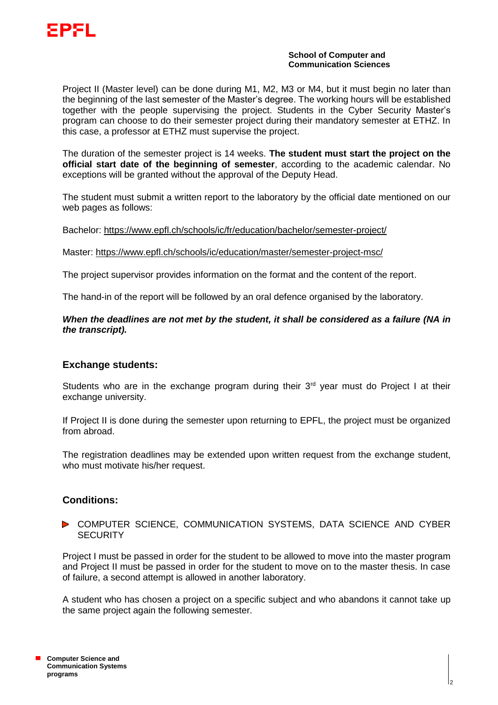

### **School of Computer and Communication Sciences**

Project II (Master level) can be done during M1, M2, M3 or M4, but it must begin no later than the beginning of the last semester of the Master's degree. The working hours will be established together with the people supervising the project. Students in the Cyber Security Master's program can choose to do their semester project during their mandatory semester at ETHZ. In this case, a professor at ETHZ must supervise the project.

The duration of the semester project is 14 weeks. **The student must start the project on the official start date of the beginning of semester**, according to the academic calendar. No exceptions will be granted without the approval of the Deputy Head.

The student must submit a written report to the laboratory by the official date mentioned on our web pages as follows:

Bachelor: <https://www.epfl.ch/schools/ic/fr/education/bachelor/semester-project/>

Master:<https://www.epfl.ch/schools/ic/education/master/semester-project-msc/>

The project supervisor provides information on the format and the content of the report.

The hand-in of the report will be followed by an oral defence organised by the laboratory.

# *When the deadlines are not met by the student, it shall be considered as a failure (NA in the transcript).*

# **Exchange students:**

Students who are in the exchange program during their  $3<sup>rd</sup>$  year must do Project I at their exchange university.

If Project II is done during the semester upon returning to EPFL, the project must be organized from abroad.

The registration deadlines may be extended upon written request from the exchange student, who must motivate his/her request.

# **Conditions:**

## **D** COMPUTER SCIENCE, COMMUNICATION SYSTEMS, DATA SCIENCE AND CYBER **SECURITY**

Project I must be passed in order for the student to be allowed to move into the master program and Project II must be passed in order for the student to move on to the master thesis. In case of failure, a second attempt is allowed in another laboratory.

A student who has chosen a project on a specific subject and who abandons it cannot take up the same project again the following semester.